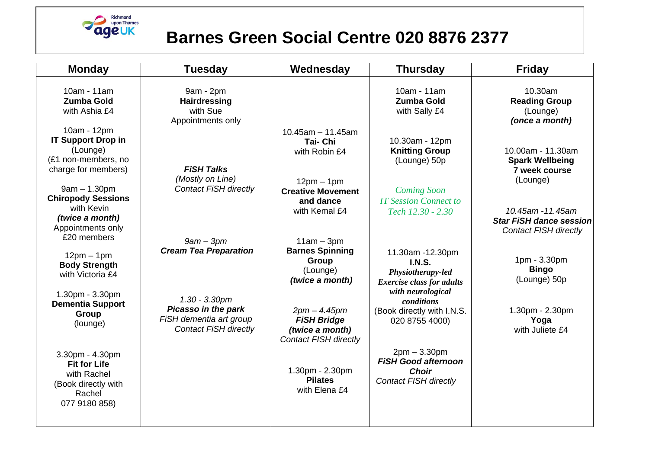

## **Barnes Green Social Centre 020 8876 2377**

| <b>Tuesday</b>                                                                                     | Wednesday                                                                               | <b>Thursday</b>                                                                              | <b>Friday</b>                                                                                  |
|----------------------------------------------------------------------------------------------------|-----------------------------------------------------------------------------------------|----------------------------------------------------------------------------------------------|------------------------------------------------------------------------------------------------|
| 9am - 2pm<br><b>Hairdressing</b><br>with Sue                                                       |                                                                                         | 10am - 11am<br><b>Zumba Gold</b><br>with Sally £4                                            | 10.30am<br><b>Reading Group</b><br>(Lounge)<br>(once a month)                                  |
| <b>FISH Talks</b>                                                                                  | $10.45$ am - 11.45am<br><b>Tai-Chi</b><br>with Robin £4                                 | 10.30am - 12pm<br><b>Knitting Group</b><br>(Lounge) 50p                                      | 10.00am - 11.30am<br><b>Spark Wellbeing</b><br>7 week course                                   |
| <b>Contact FiSH directly</b>                                                                       | $12pm - 1pm$<br><b>Creative Movement</b><br>and dance<br>with Kemal £4                  | <b>Coming Soon</b><br><b>IT Session Connect to</b><br>Tech 12.30 - 2.30                      | (Lounge)<br>10.45am -11.45am<br><b>Star FiSH dance session</b><br><b>Contact FISH directly</b> |
| $9am - 3pm$<br><b>Cream Tea Preparation</b>                                                        | $11am - 3pm$<br><b>Barnes Spinning</b><br>Group<br>(Lounge)<br>(twice a month)          | 11.30am -12.30pm<br><b>I.N.S.</b><br>Physiotherapy-led<br><b>Exercise class for adults</b>   | 1pm - 3.30pm<br><b>Bingo</b><br>(Lounge) 50p                                                   |
| $1.30 - 3.30$ pm<br>Picasso in the park<br>FiSH dementia art group<br><b>Contact FiSH directly</b> | $2pm - 4.45pm$<br><b>FiSH Bridge</b><br>(twice a month)<br><b>Contact FISH directly</b> | <i>conditions</i><br>(Book directly with I.N.S.<br>020 8755 4000)                            | 1.30pm - 2.30pm<br>Yoga<br>with Juliete £4                                                     |
|                                                                                                    | 1.30pm - 2.30pm<br><b>Pilates</b><br>with Elena £4                                      | $2pm - 3.30pm$<br><b>FISH Good afternoon</b><br><b>Choir</b><br><b>Contact FISH directly</b> |                                                                                                |
|                                                                                                    | Appointments only<br>(Mostly on Line)                                                   |                                                                                              | with neurological                                                                              |